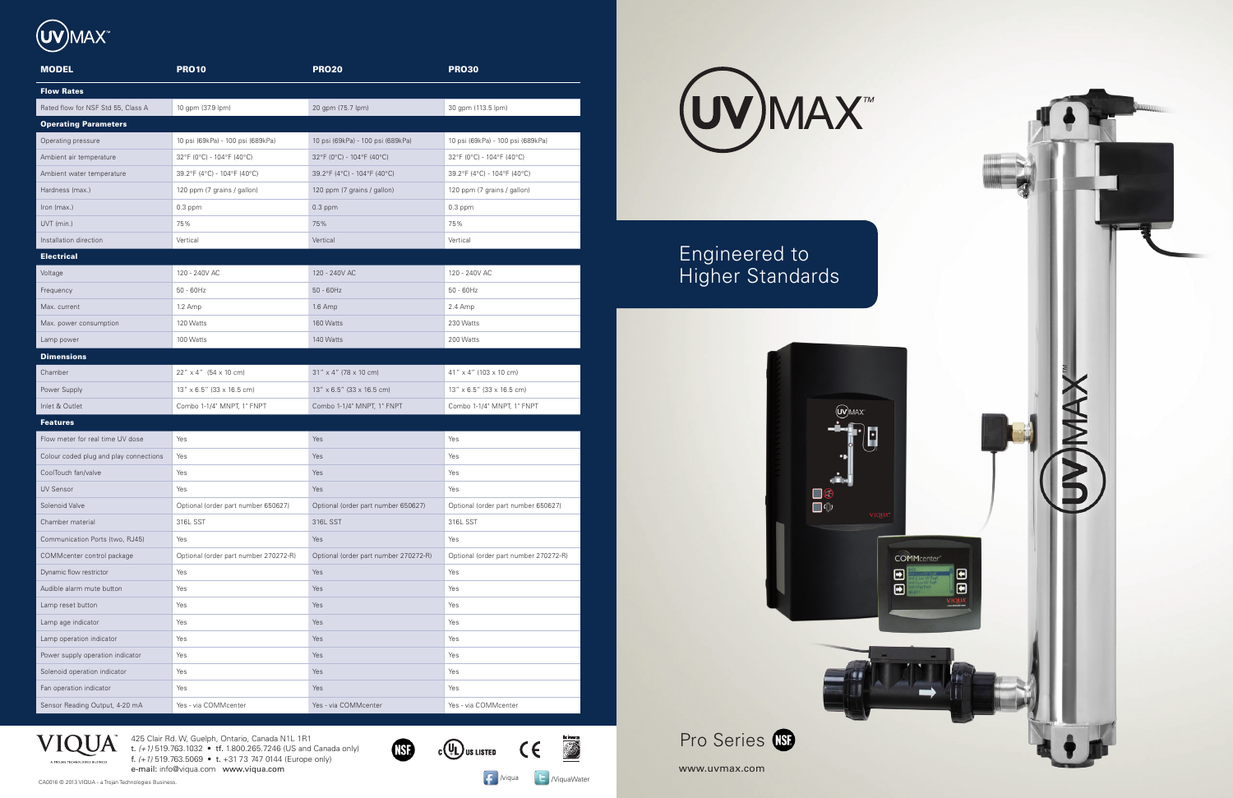425 Clair Rd. W, Guelph, Ontario, Canada N1L 1R1

t. *(+1)* 519.763.1032 • tf. 1.800.265.7246 (US and Canada only) f. *(+1)* 519.763.5069 • t. +31 73 747 0144 (Europe only)

e-mail: info@viqua.com www.viqua.com



| <b>MODEL</b>                           | <b>PRO10</b>                            | <b>PRO20</b>                          | <b>PRO30</b>                          |
|----------------------------------------|-----------------------------------------|---------------------------------------|---------------------------------------|
| <b>Flow Rates</b>                      |                                         |                                       |                                       |
| Rated flow for NSF Std 55, Class A     | 10 gpm (37.9 lpm)                       | 20 gpm (75.7 lpm)                     | 30 gpm (113.5 lpm)                    |
| <b>Operating Parameters</b>            |                                         |                                       |                                       |
| Operating pressure                     | 10 psi (69kPa) - 100 psi (689kPa)       | 10 psi (69kPa) - 100 psi (689kPa)     | 10 psi (69kPa) - 100 psi (689kPa)     |
| Ambient air temperature                | 32°F (0°C) - 104°F (40°C)               | 32°F (0°C) - 104°F (40°C)             | 32°F (0°C) - 104°F (40°C)             |
| Ambient water temperature              | 39.2°F (4°C) - 104°F (40°C)             | 39.2°F (4°C) - 104°F (40°C)           | 39.2°F (4°C) - 104°F (40°C)           |
| Hardness (max.)                        | 120 ppm (7 grains / gallon)             | 120 ppm (7 grains / gallon)           | 120 ppm (7 grains / gallon)           |
| Iron (max.)                            | $0.3$ ppm                               | $0.3$ ppm                             | $0.3$ ppm                             |
| UVT (min.)                             | 75%                                     | 75%                                   | 75%                                   |
| Installation direction                 | Vertical                                | Vertical                              | Vertical                              |
| <b>Electrical</b>                      |                                         |                                       |                                       |
| Voltage                                | 120 - 240V AC                           | 120 - 240V AC                         | 120 - 240V AC                         |
| Frequency                              | $50 - 60$ Hz                            | $50 - 60$ Hz                          | $50 - 60$ Hz                          |
| Max. current                           | $1.2$ Amp                               | $1.6$ Amp                             | 2.4 Amp                               |
| Max. power consumption                 | 120 Watts                               | 160 Watts                             | 230 Watts                             |
| Lamp power                             | 100 Watts                               | 140 Watts                             | 200 Watts                             |
| <b>Dimensions</b>                      |                                         |                                       |                                       |
| Chamber                                | $22''$ x 4" $(54 \times 10 \text{ cm})$ | $31''$ x 4" (78 x 10 cm)              | $41''$ x 4" (103 x 10 cm)             |
| Power Supply                           | 13" x 6.5" (33 x 16.5 cm)               | $13'' \times 6.5''$ (33 x 16.5 cm)    | 13" x 6.5" (33 x 16.5 cm)             |
| Inlet & Outlet                         | Combo 1-1/4" MNPT, 1" FNPT              | Combo 1-1/4" MNPT, 1" FNPT            | Combo 1-1/4" MNPT, 1" FNPT            |
| <b>Features</b>                        |                                         |                                       |                                       |
| Flow meter for real time UV dose       | Yes                                     | Yes                                   | Yes                                   |
| Colour coded plug and play connections | Yes                                     | Yes                                   | Yes                                   |
| CoolTouch fan/valve                    | Yes                                     | Yes                                   | Yes                                   |
| <b>UV Sensor</b>                       | Yes                                     | Yes                                   | Yes                                   |
| Solenoid Valve                         | Optional (order part number 650627)     | Optional (order part number 650627)   | Optional (order part number 650627)   |
| Chamber material                       | 316L SST                                | 316L SST                              | 316L SST                              |
| Communication Ports (two, RJ45)        | Yes                                     | Yes                                   | Yes                                   |
| COMMcenter control package             | Optional (order part number 270272-R)   | Optional (order part number 270272-R) | Optional (order part number 270272-R) |
| Dynamic flow restrictor                | Yes                                     | Yes                                   | Yes                                   |
| Audible alarm mute button              | Yes                                     | Yes                                   | Yes                                   |
| Lamp reset button                      | Yes                                     | Yes                                   | Yes                                   |
| Lamp age indicator                     | Yes                                     | Yes                                   | Yes                                   |
| Lamp operation indicator               | Yes                                     | Yes                                   | Yes                                   |
| Power supply operation indicator       | Yes                                     | Yes                                   | Yes                                   |
| Solenoid operation indicator           | Yes                                     | Yes                                   | Yes                                   |
| Fan operation indicator                | Yes                                     | Yes                                   | Yes                                   |
| Sensor Reading Output, 4-20 mA         | Yes - via COMMcenter                    | Yes - via COMMcenter                  | Yes - via COMMcenter                  |



## Engineered to Higher Standards





www.uvmax.com

**Kitry** 

 $\mathcal{C}(\mathbb{Q})$ us listed  $\mathbb{C}$   $\in$ 

**ED** 

CA0016 © 2013 VIQUA - a Trojan Technologies Business.<br>CA0016 © 2013 VIQUA - a Trojan Technologies Business.

VIQUA

A TROJAN TECHNOLOGIES BUSINESS